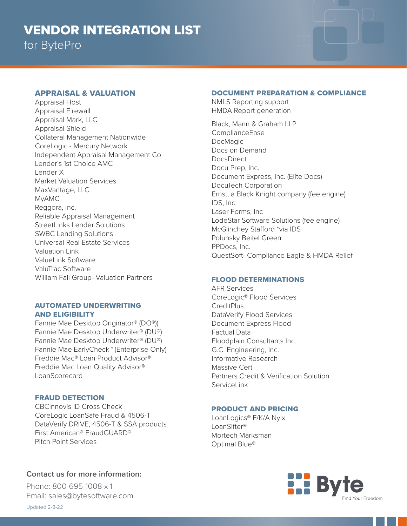# APPRAISAL & VALUATION

Appraisal Host Appraisal Firewall Appraisal Mark, LLC Appraisal Shield Collateral Management Nationwide CoreLogic - Mercury Network Independent Appraisal Management Co Lender's 1st Choice AMC Lender X Market Valuation Services MaxVantage, LLC MyAMC Reggora, Inc. Reliable Appraisal Management StreetLinks Lender Solutions SWBC Lending Solutions Universal Real Estate Services Valuation Link ValueLink Software ValuTrac Software William Fall Group- Valuation Partners

## AUTOMATED UNDERWRITING AND ELIGIBILITY

Fannie Mae Desktop Originator® (DO®)) Fannie Mae Desktop Underwriter® (DU®) Fannie Mae Desktop Underwriter® (DU®) Fannie Mae EarlyCheck™ (Enterprise Only) Freddie Mac® Loan Product Advisor® Freddie Mac Loan Quality Advisor® LoanScorecard

# FRAUD DETECTION

CBCInnovis ID Cross Check CoreLogic LoanSafe Fraud & 4506-T DataVerify DRIVE, 4506-T & SSA products First American® FraudGUARD® Pitch Point Services

# **Contact us for more information:**

Phone: 800-695-1008 x 1 Email: sales@bytesoftware.com

# DOCUMENT PREPARATION & COMPLIANCE

NMLS Reporting support HMDA Report generation

Black, Mann & Graham LLP ComplianceEase DocMagic Docs on Demand **DocsDirect** Docu Prep, Inc. Document Express, Inc. (Elite Docs) DocuTech Corporation Ernst, a Black Knight company (fee engine) IDS, Inc. Laser Forms, Inc LodeStar Software Solutions (fee engine) McGlinchey Stafford \*via IDS Polunsky Beitel Green PPDocs, Inc. QuestSoft- Compliance Eagle & HMDA Relief

## FLOOD DETERMINATIONS

AFR Services CoreLogic® Flood Services **CreditPlus** DataVerify Flood Services Document Express Flood Factual Data Floodplain Consultants Inc. G.C. Engineering, Inc. Informative Research Massive Cert Partners Credit & Verification Solution ServiceLink

## PRODUCT AND PRICING

LoanLogics® F/K/A Nylx LoanSifter® Mortech Marksman Optimal Blue®